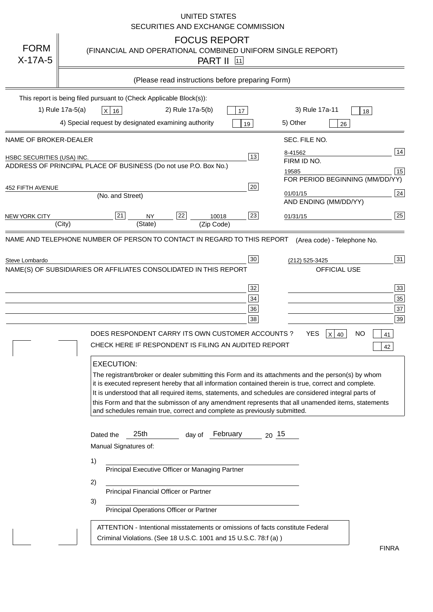|                            | UNITED STATES<br>SECURITIES AND EXCHANGE COMMISSION                                                                                                                                                                                                                                                                                                                                                                                                                                                                                                                                                                                                                                                                                                                                                                                                                |                                        |
|----------------------------|--------------------------------------------------------------------------------------------------------------------------------------------------------------------------------------------------------------------------------------------------------------------------------------------------------------------------------------------------------------------------------------------------------------------------------------------------------------------------------------------------------------------------------------------------------------------------------------------------------------------------------------------------------------------------------------------------------------------------------------------------------------------------------------------------------------------------------------------------------------------|----------------------------------------|
| <b>FORM</b><br>$X-17A-5$   | <b>FOCUS REPORT</b><br>(FINANCIAL AND OPERATIONAL COMBINED UNIFORM SINGLE REPORT)<br><b>PART II 11</b>                                                                                                                                                                                                                                                                                                                                                                                                                                                                                                                                                                                                                                                                                                                                                             |                                        |
|                            | (Please read instructions before preparing Form)                                                                                                                                                                                                                                                                                                                                                                                                                                                                                                                                                                                                                                                                                                                                                                                                                   |                                        |
|                            | This report is being filed pursuant to (Check Applicable Block(s)):                                                                                                                                                                                                                                                                                                                                                                                                                                                                                                                                                                                                                                                                                                                                                                                                |                                        |
|                            | 1) Rule 17a-5(a)<br>3) Rule 17a-11<br>X 16<br>2) Rule 17a-5(b)<br>17<br>18                                                                                                                                                                                                                                                                                                                                                                                                                                                                                                                                                                                                                                                                                                                                                                                         |                                        |
|                            | 4) Special request by designated examining authority<br>5) Other<br>19<br>26                                                                                                                                                                                                                                                                                                                                                                                                                                                                                                                                                                                                                                                                                                                                                                                       |                                        |
| NAME OF BROKER-DEALER      | SEC. FILE NO.                                                                                                                                                                                                                                                                                                                                                                                                                                                                                                                                                                                                                                                                                                                                                                                                                                                      |                                        |
| HSBC SECURITIES (USA) INC. | 8-41562<br>13<br>FIRM ID NO.                                                                                                                                                                                                                                                                                                                                                                                                                                                                                                                                                                                                                                                                                                                                                                                                                                       | 14                                     |
|                            | ADDRESS OF PRINCIPAL PLACE OF BUSINESS (Do not use P.O. Box No.)<br>19585                                                                                                                                                                                                                                                                                                                                                                                                                                                                                                                                                                                                                                                                                                                                                                                          | 15                                     |
| 452 FIFTH AVENUE           | FOR PERIOD BEGINNING (MM/DD/YY)<br>20                                                                                                                                                                                                                                                                                                                                                                                                                                                                                                                                                                                                                                                                                                                                                                                                                              |                                        |
|                            | 01/01/15<br>(No. and Street)<br>AND ENDING (MM/DD/YY)                                                                                                                                                                                                                                                                                                                                                                                                                                                                                                                                                                                                                                                                                                                                                                                                              | 24                                     |
| <b>NEW YORK CITY</b>       | 21<br>22<br>23<br><b>NY</b><br>10018<br>01/31/15<br>(City)<br>(State)<br>(Zip Code)                                                                                                                                                                                                                                                                                                                                                                                                                                                                                                                                                                                                                                                                                                                                                                                | 25                                     |
| Steve Lombardo             | (Area code) - Telephone No.<br>30<br>(212) 525-3425<br>NAME(S) OF SUBSIDIARIES OR AFFILIATES CONSOLIDATED IN THIS REPORT<br><b>OFFICIAL USE</b><br>32<br>34<br>36<br>38<br>DOES RESPONDENT CARRY ITS OWN CUSTOMER ACCOUNTS?<br>YES<br><b>NO</b><br>$X$ 40<br>CHECK HERE IF RESPONDENT IS FILING AN AUDITED REPORT<br><b>EXECUTION:</b><br>The registrant/broker or dealer submitting this Form and its attachments and the person(s) by whom<br>it is executed represent hereby that all information contained therein is true, correct and complete.<br>It is understood that all required items, statements, and schedules are considered integral parts of<br>this Form and that the submisson of any amendment represents that all unamended items, statements<br>and schedules remain true, correct and complete as previously submitted.<br>25th<br>February | 31<br>33<br>35<br>37<br>39<br>41<br>42 |
|                            | $20^{15}$<br>Dated the<br>day of<br>Manual Signatures of:<br>1)<br>Principal Executive Officer or Managing Partner<br>2)<br>Principal Financial Officer or Partner<br>3)<br>Principal Operations Officer or Partner<br>ATTENTION - Intentional misstatements or omissions of facts constitute Federal<br>Criminal Violations. (See 18 U.S.C. 1001 and 15 U.S.C. 78:f (a))                                                                                                                                                                                                                                                                                                                                                                                                                                                                                          |                                        |
|                            |                                                                                                                                                                                                                                                                                                                                                                                                                                                                                                                                                                                                                                                                                                                                                                                                                                                                    | <b>FINRA</b>                           |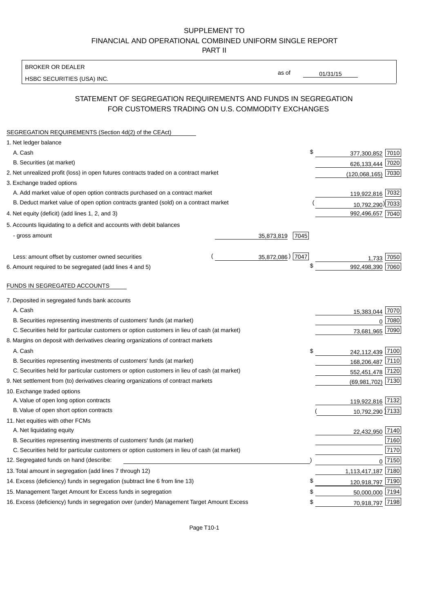## SUPPLEMENT TO FINANCIAL AND OPERATIONAL COMBINED UNIFORM SINGLE REPORT PART II

BROKER OR DEALER

HSBC SECURITIES (USA) INC.

 $01/31/15$ 

as of

# STATEMENT OF SEGREGATION REQUIREMENTS AND FUNDS IN SEGREGATION FOR CUSTOMERS TRADING ON U.S. COMMODITY EXCHANGES

| SEGREGATION REQUIREMENTS (Section 4d(2) of the CEAct)                                       |                                   |  |
|---------------------------------------------------------------------------------------------|-----------------------------------|--|
| 1. Net ledger balance                                                                       |                                   |  |
| A. Cash                                                                                     | \$<br>377,300,852 7010            |  |
| B. Securities (at market)                                                                   | 626,133,444 7020                  |  |
| 2. Net unrealized profit (loss) in open futures contracts traded on a contract market       | $(120,068,165)$ 7030              |  |
| 3. Exchange traded options                                                                  |                                   |  |
| A. Add market value of open option contracts purchased on a contract market                 | 119,922,816 7032                  |  |
| B. Deduct market value of open option contracts granted (sold) on a contract market         | 10,792,290) 7033                  |  |
| 4. Net equity (deficit) (add lines 1, 2, and 3)                                             | 992,496,657 7040                  |  |
| 5. Accounts liquidating to a deficit and accounts with debit balances                       |                                   |  |
| - gross amount                                                                              | 7045<br>35,873,819                |  |
|                                                                                             |                                   |  |
| Less: amount offset by customer owned securities                                            | 35,872,086) 7047<br>7050<br>1,733 |  |
| 6. Amount required to be segregated (add lines 4 and 5)                                     | \$<br>992,498,390<br>7060         |  |
|                                                                                             |                                   |  |
| FUNDS IN SEGREGATED ACCOUNTS                                                                |                                   |  |
| 7. Deposited in segregated funds bank accounts                                              |                                   |  |
| A. Cash                                                                                     | 7070<br>15,383,044                |  |
| B. Securities representing investments of customers' funds (at market)                      | 7080<br>$\Omega$                  |  |
| C. Securities held for particular customers or option customers in lieu of cash (at market) | 7090<br>73,681,965                |  |
| 8. Margins on deposit with derivatives clearing organizations of contract markets           |                                   |  |
| A. Cash                                                                                     | \$<br>242,112,439 7100            |  |
| B. Securities representing investments of customers' funds (at market)                      | 168,206,487 7110                  |  |
| C. Securities held for particular customers or option customers in lieu of cash (at market) | 552,451,478 7120                  |  |
| 9. Net settlement from (to) derivatives clearing organizations of contract markets          | (69,981,702) 7130                 |  |
| 10. Exchange traded options                                                                 |                                   |  |
| A. Value of open long option contracts                                                      | 119,922,816 7132                  |  |
| B. Value of open short option contracts                                                     | 10,792,290 7133                   |  |
| 11. Net equities with other FCMs                                                            |                                   |  |
| A. Net liquidating equity                                                                   | 22,432,950 7140                   |  |
| B. Securities representing investments of customers' funds (at market)                      | 7160                              |  |
| C. Securities held for particular customers or option customers in lieu of cash (at market) | 7170                              |  |
| 12. Segregated funds on hand (describe:                                                     | $0$ 7150                          |  |
| 13. Total amount in segregation (add lines 7 through 12)                                    | 1,113,417,187 7180                |  |
| 14. Excess (deficiency) funds in segregation (subtract line 6 from line 13)                 | S<br>120,918,797 7190             |  |
| 15. Management Target Amount for Excess funds in segregation                                | 50,000,000 7194<br>S              |  |
| 16. Excess (deficiency) funds in segregation over (under) Management Target Amount Excess   | 70,918,797 7198<br>\$             |  |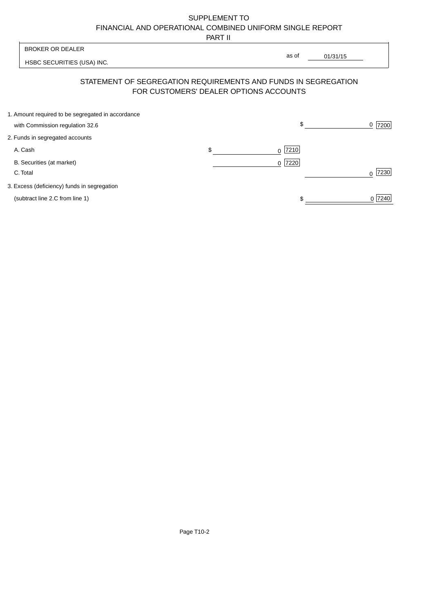# SUPPLEMENT TO FINANCIAL AND OPERATIONAL COMBINED UNIFORM SINGLE REPORT

PART II

 $\overline{\phantom{a}}$ 

| <b>BROKER OR DEALER</b>                                                                                  | as of             |          |           |
|----------------------------------------------------------------------------------------------------------|-------------------|----------|-----------|
| HSBC SECURITIES (USA) INC.                                                                               |                   | 01/31/15 |           |
| STATEMENT OF SEGREGATION REQUIREMENTS AND FUNDS IN SEGREGATION<br>FOR CUSTOMERS' DEALER OPTIONS ACCOUNTS |                   |          |           |
| 1. Amount required to be segregated in accordance<br>with Commission regulation 32.6                     | \$                |          | 7200<br>0 |
| 2. Funds in segregated accounts                                                                          |                   |          |           |
| A. Cash                                                                                                  | \$<br> 7210 <br>0 |          |           |
| B. Securities (at market)<br>C. Total                                                                    | 7220<br>0         |          | 7230      |
| 3. Excess (deficiency) funds in segregation                                                              |                   |          |           |
| (subtract line 2.C from line 1)                                                                          |                   |          | 0 7240    |

 $\overline{1}$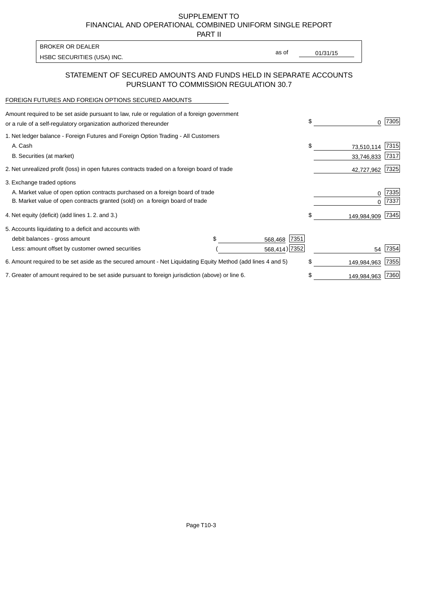SUPPLEMENT TO FINANCIAL AND OPERATIONAL COMBINED UNIFORM SINGLE REPORT

PART II

| BROKER OR DEALER           |       |          |
|----------------------------|-------|----------|
| HSBC SECURITIES (USA) INC. | as of | 01/31/15 |

## STATEMENT OF SECURED AMOUNTS AND FUNDS HELD IN SEPARATE ACCOUNTS PURSUANT TO COMMISSION REGULATION 30.7

#### FOREIGN FUTURES AND FOREIGN OPTIONS SECURED AMOUNTS

| Amount required to be set aside pursuant to law, rule or regulation of a foreign government<br>or a rule of a self-regulatory organization authorized thereunder |                 | \$ | O.          | 7305 |
|------------------------------------------------------------------------------------------------------------------------------------------------------------------|-----------------|----|-------------|------|
| 1. Net ledger balance - Foreign Futures and Foreign Option Trading - All Customers                                                                               |                 |    |             |      |
| A. Cash                                                                                                                                                          |                 | \$ | 73,510,114  | 7315 |
| B. Securities (at market)                                                                                                                                        |                 |    | 33,746,833  | 7317 |
| 2. Net unrealized profit (loss) in open futures contracts traded on a foreign board of trade                                                                     |                 |    | 42,727,962  | 7325 |
| 3. Exchange traded options                                                                                                                                       |                 |    |             |      |
| A. Market value of open option contracts purchased on a foreign board of trade                                                                                   |                 |    | 0           | 7335 |
| B. Market value of open contracts granted (sold) on a foreign board of trade                                                                                     |                 |    |             | 7337 |
| 4. Net equity (deficit) (add lines 1. 2. and 3.)                                                                                                                 |                 | \$ | 149,984,909 | 7345 |
| 5. Accounts liquidating to a deficit and accounts with                                                                                                           |                 |    |             |      |
| debit balances - gross amount                                                                                                                                    | 7351<br>568,468 |    |             |      |
| Less: amount offset by customer owned securities                                                                                                                 | 568,414) 7352   |    | 54          | 7354 |
| 6. Amount required to be set aside as the secured amount - Net Liquidating Equity Method (add lines 4 and 5)                                                     |                 | \$ | 149,984,963 | 7355 |
| 7. Greater of amount required to be set aside pursuant to foreign jurisdiction (above) or line 6.                                                                |                 | S  | 149,984,963 | 7360 |
|                                                                                                                                                                  |                 |    |             |      |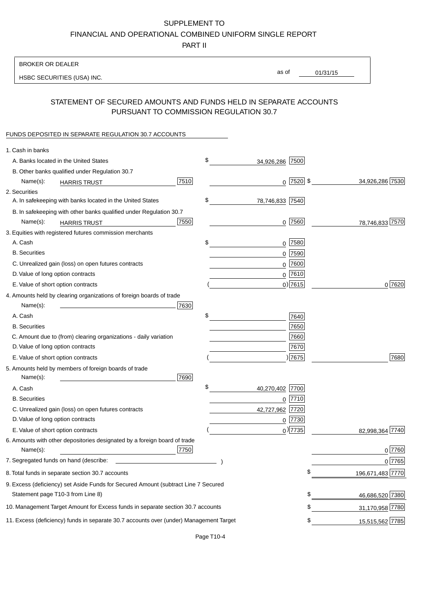## SUPPLEMENT TO

FINANCIAL AND OPERATIONAL COMBINED UNIFORM SINGLE REPORT

PART II

#### BROKER OR DEALER

HSBC SECURITIES (USA) INC.

01/31/15 as of

# STATEMENT OF SECURED AMOUNTS AND FUNDS HELD IN SEPARATE ACCOUNTS PURSUANT TO COMMISSION REGULATION 30.7

#### FUNDS DEPOSITED IN SEPARATE REGULATION 30.7 ACCOUNTS

| 1. Cash in banks                                                                       |      |                       |              |                  |
|----------------------------------------------------------------------------------------|------|-----------------------|--------------|------------------|
| A. Banks located in the United States                                                  |      | \$<br>34,926,286 7500 |              |                  |
| B. Other banks qualified under Regulation 30.7                                         |      |                       |              |                  |
| Name(s):<br><b>HARRIS TRUST</b>                                                        | 7510 |                       | $0$  7520 \$ | 34,926,286 7530  |
| 2. Securities                                                                          |      |                       |              |                  |
| A. In safekeeping with banks located in the United States                              |      | \$<br>78,746,833 7540 |              |                  |
| B. In safekeeping with other banks qualified under Regulation 30.7                     |      |                       |              |                  |
| Name(s):<br><b>HARRIS TRUST</b>                                                        | 7550 |                       | $0$ 7560     | 78,746,833 7570  |
| 3. Equities with registered futures commission merchants                               |      |                       |              |                  |
| A. Cash                                                                                |      | \$<br>$0$   7580      |              |                  |
| <b>B.</b> Securities                                                                   |      | $0$ 7590              |              |                  |
| C. Unrealized gain (loss) on open futures contracts                                    |      |                       | 0 7600       |                  |
| D. Value of long option contracts                                                      |      | $0$ 7610              |              |                  |
| E. Value of short option contracts                                                     |      | $0$ ) 7615            |              | 0 7620           |
| 4. Amounts held by clearing organizations of foreign boards of trade                   |      |                       |              |                  |
| Name(s):                                                                               | 7630 |                       |              |                  |
| A. Cash                                                                                |      | \$                    | 7640         |                  |
| <b>B.</b> Securities                                                                   |      |                       | 7650         |                  |
| C. Amount due to (from) clearing organizations - daily variation                       |      |                       | 7660         |                  |
| D. Value of long option contracts                                                      |      |                       | 7670         |                  |
| E. Value of short option contracts                                                     |      |                       | ) 7675       | 7680             |
| 5. Amounts held by members of foreign boards of trade                                  |      |                       |              |                  |
| Name(s):                                                                               | 7690 |                       |              |                  |
| A. Cash                                                                                |      | \$<br>40,270,402 7700 |              |                  |
| <b>B.</b> Securities                                                                   |      |                       | $0$  7710    |                  |
| C. Unrealized gain (loss) on open futures contracts                                    |      | 42,727,962            | 7720         |                  |
| D. Value of long option contracts                                                      |      |                       | 0 7730       |                  |
| E. Value of short option contracts                                                     |      |                       | $_0$ ) 7735  | 82,998,364 7740  |
| 6. Amounts with other depositories designated by a foreign board of trade              |      |                       |              |                  |
| Name(s):                                                                               | 7750 |                       |              | 0 7760           |
| 7. Segregated funds on hand (describe:                                                 |      |                       |              | 0 7765           |
| 8. Total funds in separate section 30.7 accounts                                       |      |                       | \$           | 196,671,483 7770 |
| 9. Excess (deficiency) set Aside Funds for Secured Amount (subtract Line 7 Secured     |      |                       |              |                  |
| Statement page T10-3 from Line 8)                                                      |      |                       | \$           | 46,686,520 7380  |
| 10. Management Target Amount for Excess funds in separate section 30.7 accounts        |      |                       | \$           | 31,170,958 7780  |
| 11. Excess (deficiency) funds in separate 30.7 accounts over (under) Management Target |      |                       | \$           | 15,515,562 7785  |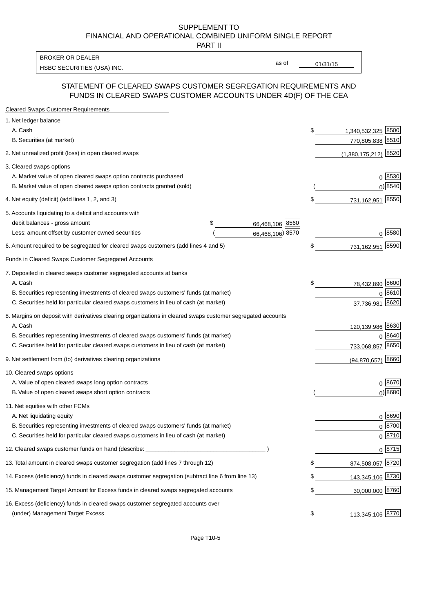#### SUPPLEMENT TO FINANCIAL AND OPERATIONAL COMBINED UNIFORM SINGLE REPORT PART II

HSBC SECURITIES (USA) INC. The contract of the contract of the contract of the contract of the contract of the contract of the contract of the contract of the contract of the contract of the contract of the contract of the BROKER OR DEALER

as of

## STATEMENT OF CLEARED SWAPS CUSTOMER SEGREGATION REQUIREMENTS AND FUNDS IN CLEARED SWAPS CUSTOMER ACCOUNTS UNDER 4D(F) OF THE CEA

| <b>Cleared Swaps Customer Requirements</b>                                                                  |                       |    |                         |
|-------------------------------------------------------------------------------------------------------------|-----------------------|----|-------------------------|
| 1. Net ledger balance                                                                                       |                       |    |                         |
| A. Cash                                                                                                     |                       | \$ | 8500<br>1,340,532,325   |
| B. Securities (at market)                                                                                   |                       |    | 770,805,838<br>8510     |
| 2. Net unrealized profit (loss) in open cleared swaps                                                       |                       |    | 8520<br>(1,380,175,212) |
| 3. Cleared swaps options                                                                                    |                       |    |                         |
| A. Market value of open cleared swaps option contracts purchased                                            |                       |    | $0^{8530}$              |
| B. Market value of open cleared swaps option contracts granted (sold)                                       |                       |    | $0)$ 8540               |
| 4. Net equity (deficit) (add lines 1, 2, and 3)                                                             |                       | \$ | 731,162,951 8550        |
| 5. Accounts liquidating to a deficit and accounts with                                                      |                       |    |                         |
| debit balances - gross amount                                                                               | 66,468,106 8560<br>\$ |    |                         |
| Less: amount offset by customer owned securities                                                            | 66,468,106) 8570      |    | 0 8580                  |
| 6. Amount required to be segregated for cleared swaps customers (add lines 4 and 5)                         |                       | S  | 8590<br>731,162,951     |
| Funds in Cleared Swaps Customer Segregated Accounts                                                         |                       |    |                         |
| 7. Deposited in cleared swaps customer segregated accounts at banks                                         |                       |    |                         |
| A. Cash                                                                                                     |                       | \$ | 78,432,890 8600         |
| B. Securities representing investments of cleared swaps customers' funds (at market)                        |                       |    | 0 8610                  |
| C. Securities held for particular cleared swaps customers in lieu of cash (at market)                       |                       |    | 8620<br>37,736,981      |
| 8. Margins on deposit with derivatives clearing organizations in cleared swaps customer segregated accounts |                       |    |                         |
| A. Cash                                                                                                     |                       |    | 120,139,986 8630        |
| B. Securities representing investments of cleared swaps customers' funds (at market)                        |                       |    | 8640<br>0               |
| C. Securities held for particular cleared swaps customers in lieu of cash (at market)                       |                       |    | 8650<br>733,068,857     |
| 9. Net settlement from (to) derivatives clearing organizations                                              |                       |    | 8660<br>(94, 870, 657)  |
| 10. Cleared swaps options                                                                                   |                       |    |                         |
| A. Value of open cleared swaps long option contracts                                                        |                       |    | $0^{8670}$              |
| B. Value of open cleared swaps short option contracts                                                       |                       |    | $0$ ) 8680              |
| 11. Net equities with other FCMs                                                                            |                       |    |                         |
| A. Net liquidating equity                                                                                   |                       |    | $0^{8690}$              |
| B. Securities representing investments of cleared swaps customers' funds (at market)                        |                       |    | $0^{8700}$              |
| C. Securities held for particular cleared swaps customers in lieu of cash (at market)                       |                       |    | 0 8710                  |
| 12. Cleared swaps customer funds on hand (describe: _                                                       |                       |    | $0 \;  8715 $           |
| 13. Total amount in cleared swaps customer segregation (add lines 7 through 12)                             |                       |    | 874,508,057 8720        |
| 14. Excess (deficiency) funds in cleared swaps customer segregation (subtract line 6 from line 13)          |                       |    | 143,345,106 8730        |
| 15. Management Target Amount for Excess funds in cleared swaps segregated accounts                          |                       | \$ | 30,000,000 8760         |
| 16. Excess (deficiency) funds in cleared swaps customer segregated accounts over                            |                       |    |                         |
| (under) Management Target Excess                                                                            |                       | \$ | 113,345,106 8770        |